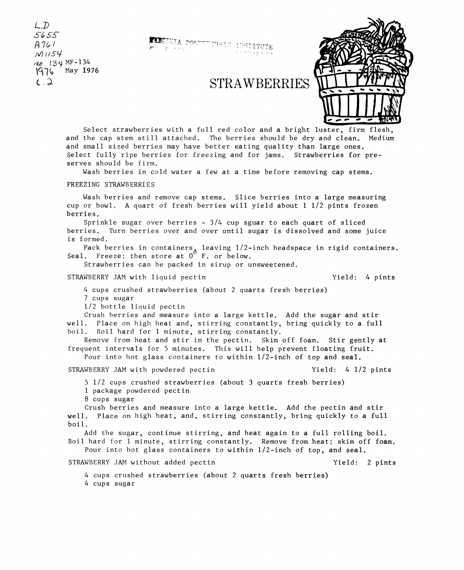## (. . ). **STRAWBERRIES**



Select strawberries with a full red color and a bright luster, firm flesh, and the cap stem still attached. The berries should be dry and clean. Medium and small sized berries may have better eating quality than large ones. Select fully ripe berries for freezing and for jams. Strawberries for preserves should be firm.

Wash berries in cold water a few at a time before removing cap stems.

## FREEZING STRAWBERRIES

*L])*  s~ss-*A ?t;; I* 

*rUJ.* lo"}. MF-134  $\sqrt{976}$  May 1976

> Wash berries and remove cap stems. Slice berries into a large measuring cup or bowl. A quart of fresh berries will yield about 1 1/2 pints frozen berries.

> Sprinkle sugar over berries - 3/4 cup sguar to each quart of sliced berries. Turn berries over and over until sugar is dissolved and some juice is formed.

Pack berries in containers, leaving  $1/2$ -inch headspace in rigid containers. Seal. Freeze; then store at  $0^{\circ}$  F. or below.

Strawberries can be packed in sirup or unsweetened.

## STRAWBERRY JAM with liquid pectin  $Yield: 4 \text{ pints}$

 $\mu$ */V*) *i i S* $\pm$ 

4 cups crushed strawberries (about 2 quarts fresh berries) 7 cups sugar

1/2 bottle liquid pectin

Crush berries and measure into a large kettle. Add the sugar and stir well. Place on high heat and, stirring constantly, bring quickly to a full boil. Boil hard for 1 minute, stirring constantly.

Remove from heat and stir in the pectin. Skim off foam. Stir gently at frequent intervals for 5 minutes. This will help prevent floating fruit. Pour into hot glass containers to within 1/2-inch of top and seal.

STRAWBERRY JAM with powdered pectin  $Yield: 4$  1/2 pints

5 1/2 cups crushed strawberries (about 3 quarts fresh berries)

1 package powdered pectin

8 cups sugar

Crush berries and measure into a large kettle. Add the pectin and stir well. Place on high heat, and, stirring constantly, bring quickly to a full boil.

Add the sugar, continue stirring, and heat again to a full rolling boil. Boil hard for 1 minute, stirring constantly. Remove from heat; skim off foam. Pour into hot glass containers to within  $1/2$ -inch of top, and seal.

STRAWBERRY JAM without added pectin

Yield: 2 pints

4 cups crushed strawberries (about 2 quarts fresh berries)

4 cups sugar